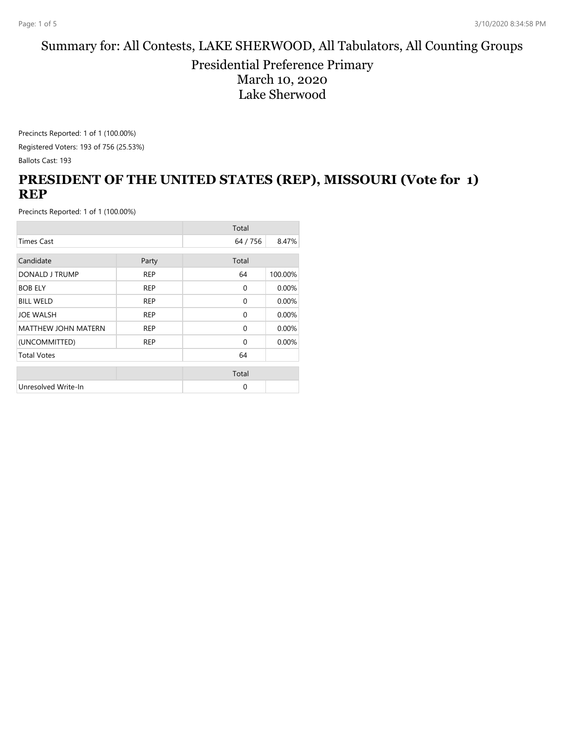#### Summary for: All Contests, LAKE SHERWOOD, All Tabulators, All Counting Groups

Presidential Preference Primary March 10, 2020 Lake Sherwood

Precincts Reported: 1 of 1 (100.00%) Registered Voters: 193 of 756 (25.53%)

Ballots Cast: 193

#### **PRESIDENT OF THE UNITED STATES (REP), MISSOURI (Vote for 1) REP**

|                            |            | Total        |         |
|----------------------------|------------|--------------|---------|
| <b>Times Cast</b>          |            | 64 / 756     | 8.47%   |
| Candidate                  | Party      | Total        |         |
| DONALD J TRUMP             | <b>REP</b> | 64           | 100.00% |
| <b>BOB ELY</b>             | <b>REP</b> | $\mathbf{0}$ | 0.00%   |
| <b>BILL WELD</b>           | <b>REP</b> | $\mathbf{0}$ | 0.00%   |
| <b>JOE WALSH</b>           | <b>REP</b> | $\mathbf{0}$ | 0.00%   |
| <b>MATTHEW JOHN MATERN</b> | <b>REP</b> | $\mathbf{0}$ | 0.00%   |
| (UNCOMMITTED)              | <b>REP</b> | $\Omega$     | 0.00%   |
| <b>Total Votes</b>         |            | 64           |         |
|                            |            | Total        |         |
| Unresolved Write-In        |            | 0            |         |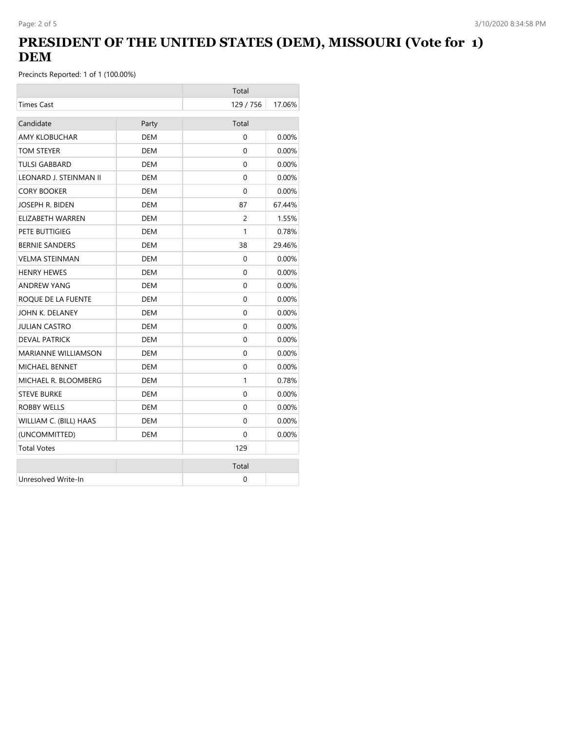## **PRESIDENT OF THE UNITED STATES (DEM), MISSOURI (Vote for 1) DEM**

|                            |            | Total     |          |
|----------------------------|------------|-----------|----------|
| <b>Times Cast</b>          |            | 129 / 756 | 17.06%   |
| Candidate                  | Party      | Total     |          |
| <b>AMY KLOBUCHAR</b>       | <b>DEM</b> | $\Omega$  | 0.00%    |
| TOM STEYER                 | <b>DEM</b> | $\Omega$  | 0.00%    |
| <b>TULSI GABBARD</b>       | <b>DEM</b> | $\Omega$  | 0.00%    |
| LEONARD J. STEINMAN II     | DEM        | $\Omega$  | $0.00\%$ |
| <b>CORY BOOKER</b>         | <b>DEM</b> | $\Omega$  | 0.00%    |
| JOSEPH R. BIDEN            | <b>DEM</b> | 87        | 67.44%   |
| ELIZABETH WARREN           | DEM        | 2         | 1.55%    |
| PETE BUTTIGIEG             | <b>DEM</b> | 1         | 0.78%    |
| <b>BERNIE SANDERS</b>      | DEM        | 38        | 29.46%   |
| <b>VELMA STEINMAN</b>      | <b>DEM</b> | 0         | $0.00\%$ |
| <b>HENRY HEWES</b>         | DEM        | $\Omega$  | 0.00%    |
| <b>ANDREW YANG</b>         | DEM        | 0         | 0.00%    |
| ROQUE DE LA FUENTE         | DEM        | 0         | $0.00\%$ |
| JOHN K. DELANEY            | <b>DEM</b> | 0         | 0.00%    |
| <b>JULIAN CASTRO</b>       | <b>DEM</b> | $\Omega$  | $0.00\%$ |
| <b>DEVAL PATRICK</b>       | <b>DEM</b> | $\Omega$  | 0.00%    |
| <b>MARIANNE WILLIAMSON</b> | <b>DEM</b> | $\Omega$  | 0.00%    |
| <b>MICHAEL BENNET</b>      | DEM        | $\Omega$  | $0.00\%$ |
| MICHAEL R. BLOOMBERG       | DEM        | 1         | 0.78%    |
| <b>STEVE BURKE</b>         | DEM        | $\Omega$  | $0.00\%$ |
| <b>ROBBY WELLS</b>         | <b>DEM</b> | 0         | 0.00%    |
| WILLIAM C. (BILL) HAAS     | <b>DEM</b> | $\Omega$  | $0.00\%$ |
| (UNCOMMITTED)              | <b>DEM</b> | $\Omega$  | 0.00%    |
| <b>Total Votes</b>         |            | 129       |          |
|                            |            | Total     |          |
| Unresolved Write-In        |            | 0         |          |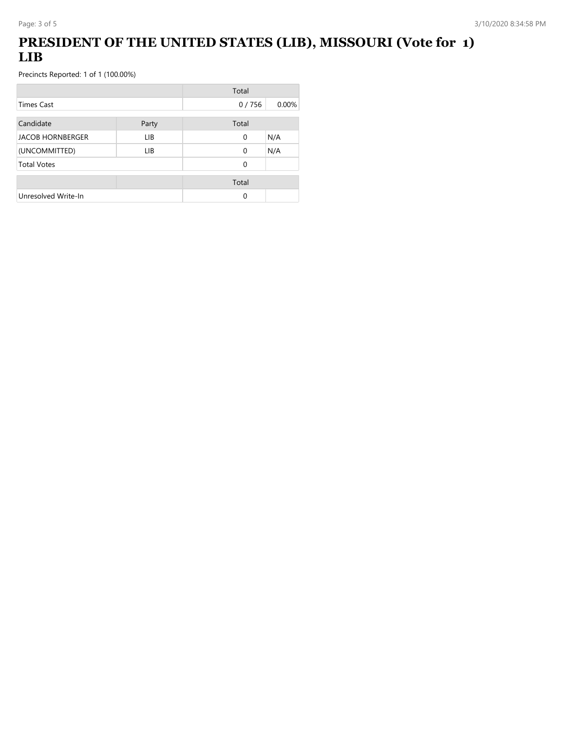# **PRESIDENT OF THE UNITED STATES (LIB), MISSOURI (Vote for 1) LIB**

|                         |       | Total    |       |
|-------------------------|-------|----------|-------|
| <b>Times Cast</b>       |       | 0/756    | 0.00% |
| Candidate               | Party | Total    |       |
| <b>JACOB HORNBERGER</b> | LIB.  | 0        | N/A   |
| (UNCOMMITTED)           | LIB   | $\Omega$ | N/A   |
| <b>Total Votes</b>      |       | 0        |       |
|                         |       | Total    |       |
| Unresolved Write-In     |       | 0        |       |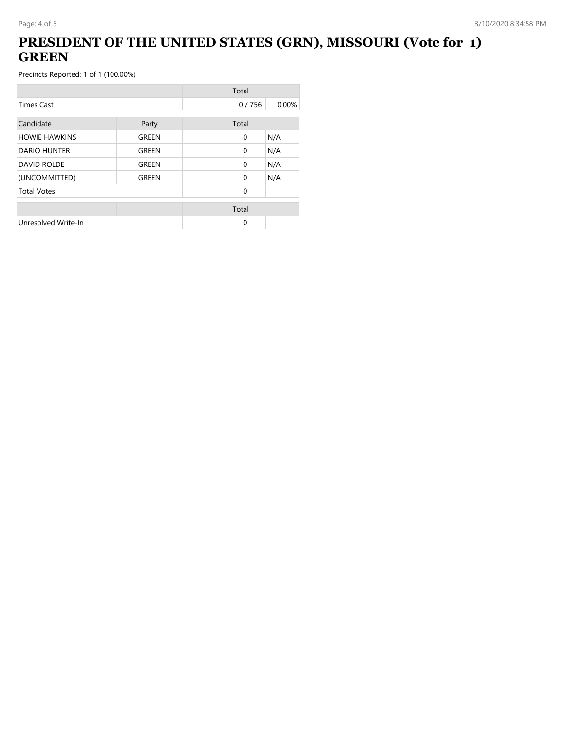## **PRESIDENT OF THE UNITED STATES (GRN), MISSOURI (Vote for 1) GREEN**

|                      |       | Total        |       |
|----------------------|-------|--------------|-------|
| <b>Times Cast</b>    |       | 0/756        | 0.00% |
| Candidate            | Party | Total        |       |
| <b>HOWIE HAWKINS</b> | GREEN | $\mathbf{0}$ | N/A   |
| DARIO HUNTER         | GREEN | $\Omega$     | N/A   |
| <b>DAVID ROLDE</b>   | GREEN | $\mathbf{0}$ | N/A   |
| (UNCOMMITTED)        | GREEN | $\Omega$     | N/A   |
| <b>Total Votes</b>   |       | $\Omega$     |       |
|                      |       | Total        |       |
| Unresolved Write-In  |       | 0            |       |